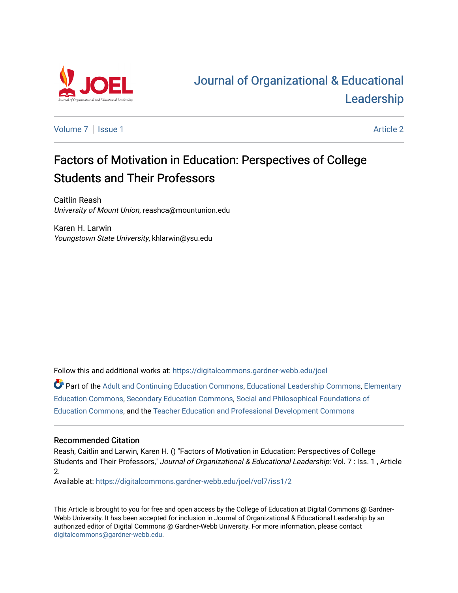

# [Journal of Organizational & Educational](https://digitalcommons.gardner-webb.edu/joel)  [Leadership](https://digitalcommons.gardner-webb.edu/joel)

[Volume 7](https://digitalcommons.gardner-webb.edu/joel/vol7) | [Issue 1](https://digitalcommons.gardner-webb.edu/joel/vol7/iss1) Article 2

# Factors of Motivation in Education: Perspectives of College Students and Their Professors

Caitlin Reash University of Mount Union, reashca@mountunion.edu

Karen H. Larwin Youngstown State University, khlarwin@ysu.edu

Follow this and additional works at: [https://digitalcommons.gardner-webb.edu/joel](https://digitalcommons.gardner-webb.edu/joel?utm_source=digitalcommons.gardner-webb.edu%2Fjoel%2Fvol7%2Fiss1%2F2&utm_medium=PDF&utm_campaign=PDFCoverPages) 

Part of the [Adult and Continuing Education Commons,](http://network.bepress.com/hgg/discipline/1375?utm_source=digitalcommons.gardner-webb.edu%2Fjoel%2Fvol7%2Fiss1%2F2&utm_medium=PDF&utm_campaign=PDFCoverPages) [Educational Leadership Commons](http://network.bepress.com/hgg/discipline/1230?utm_source=digitalcommons.gardner-webb.edu%2Fjoel%2Fvol7%2Fiss1%2F2&utm_medium=PDF&utm_campaign=PDFCoverPages), [Elementary](http://network.bepress.com/hgg/discipline/1378?utm_source=digitalcommons.gardner-webb.edu%2Fjoel%2Fvol7%2Fiss1%2F2&utm_medium=PDF&utm_campaign=PDFCoverPages)  [Education Commons,](http://network.bepress.com/hgg/discipline/1378?utm_source=digitalcommons.gardner-webb.edu%2Fjoel%2Fvol7%2Fiss1%2F2&utm_medium=PDF&utm_campaign=PDFCoverPages) [Secondary Education Commons,](http://network.bepress.com/hgg/discipline/1382?utm_source=digitalcommons.gardner-webb.edu%2Fjoel%2Fvol7%2Fiss1%2F2&utm_medium=PDF&utm_campaign=PDFCoverPages) [Social and Philosophical Foundations of](http://network.bepress.com/hgg/discipline/799?utm_source=digitalcommons.gardner-webb.edu%2Fjoel%2Fvol7%2Fiss1%2F2&utm_medium=PDF&utm_campaign=PDFCoverPages) [Education Commons,](http://network.bepress.com/hgg/discipline/799?utm_source=digitalcommons.gardner-webb.edu%2Fjoel%2Fvol7%2Fiss1%2F2&utm_medium=PDF&utm_campaign=PDFCoverPages) and the [Teacher Education and Professional Development Commons](http://network.bepress.com/hgg/discipline/803?utm_source=digitalcommons.gardner-webb.edu%2Fjoel%2Fvol7%2Fiss1%2F2&utm_medium=PDF&utm_campaign=PDFCoverPages)

## Recommended Citation

Reash, Caitlin and Larwin, Karen H. () "Factors of Motivation in Education: Perspectives of College Students and Their Professors," Journal of Organizational & Educational Leadership: Vol. 7 : Iss. 1, Article 2.

Available at: [https://digitalcommons.gardner-webb.edu/joel/vol7/iss1/2](https://digitalcommons.gardner-webb.edu/joel/vol7/iss1/2?utm_source=digitalcommons.gardner-webb.edu%2Fjoel%2Fvol7%2Fiss1%2F2&utm_medium=PDF&utm_campaign=PDFCoverPages)

This Article is brought to you for free and open access by the College of Education at Digital Commons @ Gardner-Webb University. It has been accepted for inclusion in Journal of Organizational & Educational Leadership by an authorized editor of Digital Commons @ Gardner-Webb University. For more information, please contact [digitalcommons@gardner-webb.edu](mailto:digitalcommons@gardner-webb.edu).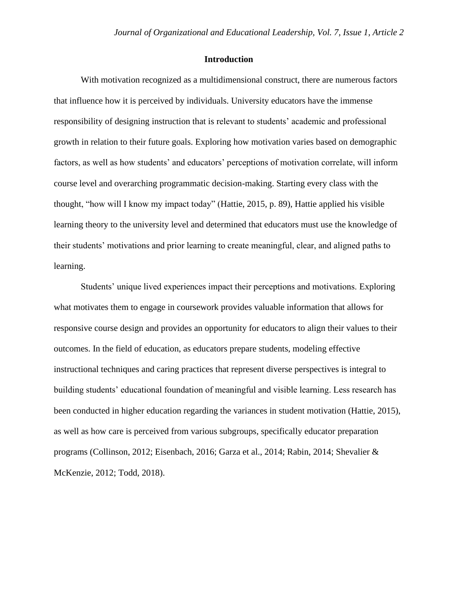## **Introduction**

With motivation recognized as a multidimensional construct, there are numerous factors that influence how it is perceived by individuals. University educators have the immense responsibility of designing instruction that is relevant to students' academic and professional growth in relation to their future goals. Exploring how motivation varies based on demographic factors, as well as how students' and educators' perceptions of motivation correlate, will inform course level and overarching programmatic decision-making. Starting every class with the thought, "how will I know my impact today" (Hattie, 2015, p. 89), Hattie applied his visible learning theory to the university level and determined that educators must use the knowledge of their students' motivations and prior learning to create meaningful, clear, and aligned paths to learning.

Students' unique lived experiences impact their perceptions and motivations. Exploring what motivates them to engage in coursework provides valuable information that allows for responsive course design and provides an opportunity for educators to align their values to their outcomes. In the field of education, as educators prepare students, modeling effective instructional techniques and caring practices that represent diverse perspectives is integral to building students' educational foundation of meaningful and visible learning. Less research has been conducted in higher education regarding the variances in student motivation (Hattie, 2015), as well as how care is perceived from various subgroups, specifically educator preparation programs (Collinson, 2012; Eisenbach, 2016; Garza et al., 2014; Rabin, 2014; Shevalier & McKenzie, 2012; Todd, 2018).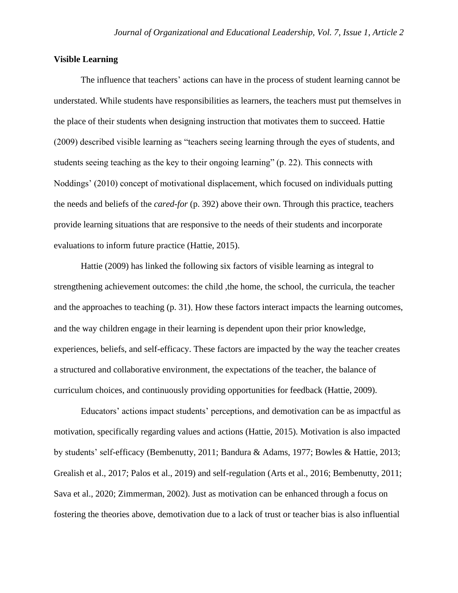## **Visible Learning**

The influence that teachers' actions can have in the process of student learning cannot be understated. While students have responsibilities as learners, the teachers must put themselves in the place of their students when designing instruction that motivates them to succeed. Hattie (2009) described visible learning as "teachers seeing learning through the eyes of students, and students seeing teaching as the key to their ongoing learning" (p. 22). This connects with Noddings' (2010) concept of motivational displacement, which focused on individuals putting the needs and beliefs of the *cared-for* (p. 392) above their own. Through this practice, teachers provide learning situations that are responsive to the needs of their students and incorporate evaluations to inform future practice (Hattie, 2015).

Hattie (2009) has linked the following six factors of visible learning as integral to strengthening achievement outcomes: the child ,the home, the school, the curricula, the teacher and the approaches to teaching (p. 31). How these factors interact impacts the learning outcomes, and the way children engage in their learning is dependent upon their prior knowledge, experiences, beliefs, and self-efficacy. These factors are impacted by the way the teacher creates a structured and collaborative environment, the expectations of the teacher, the balance of curriculum choices, and continuously providing opportunities for feedback (Hattie, 2009).

Educators' actions impact students' perceptions, and demotivation can be as impactful as motivation, specifically regarding values and actions (Hattie, 2015). Motivation is also impacted by students' self-efficacy (Bembenutty, 2011; Bandura & Adams, 1977; Bowles & Hattie, 2013; Grealish et al., 2017; Palos et al., 2019) and self-regulation (Arts et al., 2016; Bembenutty, 2011; Sava et al., 2020; Zimmerman, 2002). Just as motivation can be enhanced through a focus on fostering the theories above, demotivation due to a lack of trust or teacher bias is also influential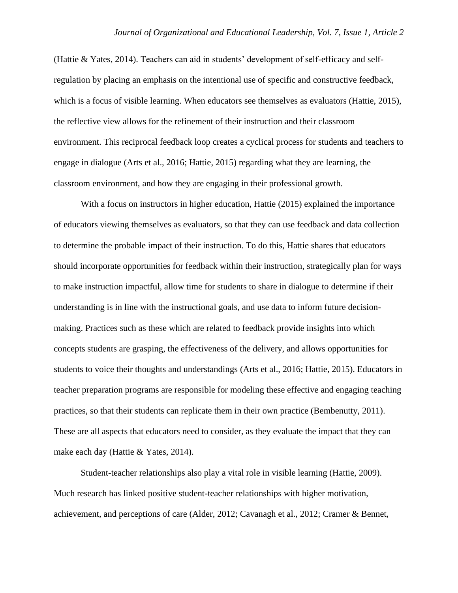(Hattie & Yates, 2014). Teachers can aid in students' development of self-efficacy and selfregulation by placing an emphasis on the intentional use of specific and constructive feedback, which is a focus of visible learning. When educators see themselves as evaluators (Hattie, 2015), the reflective view allows for the refinement of their instruction and their classroom environment. This reciprocal feedback loop creates a cyclical process for students and teachers to engage in dialogue (Arts et al., 2016; Hattie, 2015) regarding what they are learning, the classroom environment, and how they are engaging in their professional growth.

With a focus on instructors in higher education, Hattie (2015) explained the importance of educators viewing themselves as evaluators, so that they can use feedback and data collection to determine the probable impact of their instruction. To do this, Hattie shares that educators should incorporate opportunities for feedback within their instruction, strategically plan for ways to make instruction impactful, allow time for students to share in dialogue to determine if their understanding is in line with the instructional goals, and use data to inform future decisionmaking. Practices such as these which are related to feedback provide insights into which concepts students are grasping, the effectiveness of the delivery, and allows opportunities for students to voice their thoughts and understandings (Arts et al., 2016; Hattie, 2015). Educators in teacher preparation programs are responsible for modeling these effective and engaging teaching practices, so that their students can replicate them in their own practice (Bembenutty, 2011). These are all aspects that educators need to consider, as they evaluate the impact that they can make each day (Hattie & Yates, 2014).

Student-teacher relationships also play a vital role in visible learning (Hattie, 2009). Much research has linked positive student-teacher relationships with higher motivation, achievement, and perceptions of care (Alder, 2012; Cavanagh et al., 2012; Cramer & Bennet,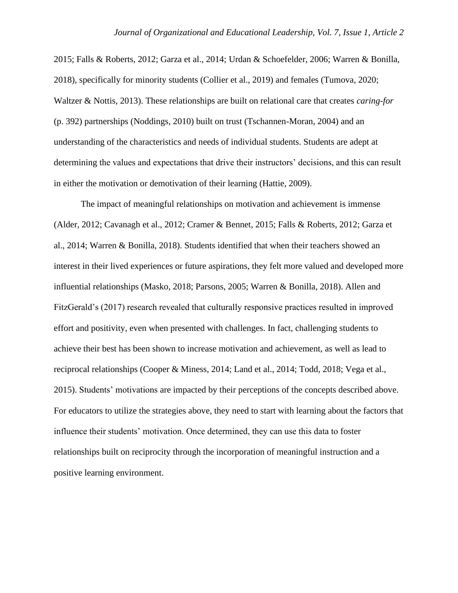2015; Falls & Roberts, 2012; Garza et al., 2014; Urdan & Schoefelder, 2006; Warren & Bonilla, 2018), specifically for minority students (Collier et al., 2019) and females (Tumova, 2020; Waltzer & Nottis, 2013). These relationships are built on relational care that creates *caring-for* (p. 392) partnerships (Noddings, 2010) built on trust (Tschannen-Moran, 2004) and an understanding of the characteristics and needs of individual students. Students are adept at determining the values and expectations that drive their instructors' decisions, and this can result in either the motivation or demotivation of their learning (Hattie, 2009).

The impact of meaningful relationships on motivation and achievement is immense (Alder, 2012; Cavanagh et al., 2012; Cramer & Bennet, 2015; Falls & Roberts, 2012; Garza et al., 2014; Warren & Bonilla, 2018). Students identified that when their teachers showed an interest in their lived experiences or future aspirations, they felt more valued and developed more influential relationships (Masko, 2018; Parsons, 2005; Warren & Bonilla, 2018). Allen and FitzGerald's (2017) research revealed that culturally responsive practices resulted in improved effort and positivity, even when presented with challenges. In fact, challenging students to achieve their best has been shown to increase motivation and achievement, as well as lead to reciprocal relationships (Cooper & Miness, 2014; Land et al., 2014; Todd, 2018; Vega et al., 2015). Students' motivations are impacted by their perceptions of the concepts described above. For educators to utilize the strategies above, they need to start with learning about the factors that influence their students' motivation. Once determined, they can use this data to foster relationships built on reciprocity through the incorporation of meaningful instruction and a positive learning environment.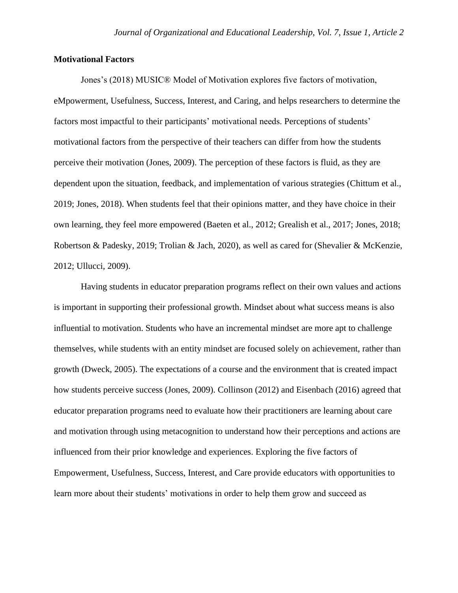## **Motivational Factors**

Jones's (2018) MUSIC® Model of Motivation explores five factors of motivation, eMpowerment, Usefulness, Success, Interest, and Caring, and helps researchers to determine the factors most impactful to their participants' motivational needs. Perceptions of students' motivational factors from the perspective of their teachers can differ from how the students perceive their motivation (Jones, 2009). The perception of these factors is fluid, as they are dependent upon the situation, feedback, and implementation of various strategies (Chittum et al., 2019; Jones, 2018). When students feel that their opinions matter, and they have choice in their own learning, they feel more empowered (Baeten et al., 2012; Grealish et al., 2017; Jones, 2018; Robertson & Padesky, 2019; Trolian & Jach, 2020), as well as cared for (Shevalier & McKenzie, 2012; Ullucci, 2009).

Having students in educator preparation programs reflect on their own values and actions is important in supporting their professional growth. Mindset about what success means is also influential to motivation. Students who have an incremental mindset are more apt to challenge themselves, while students with an entity mindset are focused solely on achievement, rather than growth (Dweck, 2005). The expectations of a course and the environment that is created impact how students perceive success (Jones, 2009). Collinson (2012) and Eisenbach (2016) agreed that educator preparation programs need to evaluate how their practitioners are learning about care and motivation through using metacognition to understand how their perceptions and actions are influenced from their prior knowledge and experiences. Exploring the five factors of Empowerment, Usefulness, Success, Interest, and Care provide educators with opportunities to learn more about their students' motivations in order to help them grow and succeed as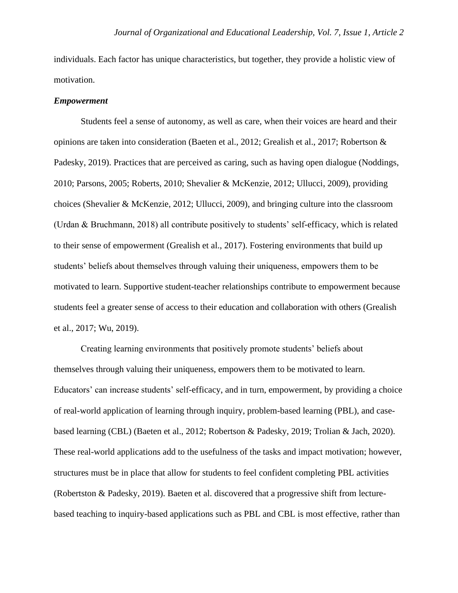individuals. Each factor has unique characteristics, but together, they provide a holistic view of motivation.

#### *Empowerment*

Students feel a sense of autonomy, as well as care, when their voices are heard and their opinions are taken into consideration (Baeten et al., 2012; Grealish et al., 2017; Robertson & Padesky, 2019). Practices that are perceived as caring, such as having open dialogue (Noddings, 2010; Parsons, 2005; Roberts, 2010; Shevalier & McKenzie, 2012; Ullucci, 2009), providing choices (Shevalier & McKenzie, 2012; Ullucci, 2009), and bringing culture into the classroom (Urdan & Bruchmann, 2018) all contribute positively to students' self-efficacy, which is related to their sense of empowerment (Grealish et al., 2017). Fostering environments that build up students' beliefs about themselves through valuing their uniqueness, empowers them to be motivated to learn. Supportive student-teacher relationships contribute to empowerment because students feel a greater sense of access to their education and collaboration with others (Grealish et al., 2017; Wu, 2019).

Creating learning environments that positively promote students' beliefs about themselves through valuing their uniqueness, empowers them to be motivated to learn. Educators' can increase students' self-efficacy, and in turn, empowerment, by providing a choice of real-world application of learning through inquiry, problem-based learning (PBL), and casebased learning (CBL) (Baeten et al., 2012; Robertson & Padesky, 2019; Trolian & Jach, 2020). These real-world applications add to the usefulness of the tasks and impact motivation; however, structures must be in place that allow for students to feel confident completing PBL activities (Robertston & Padesky, 2019). Baeten et al. discovered that a progressive shift from lecturebased teaching to inquiry-based applications such as PBL and CBL is most effective, rather than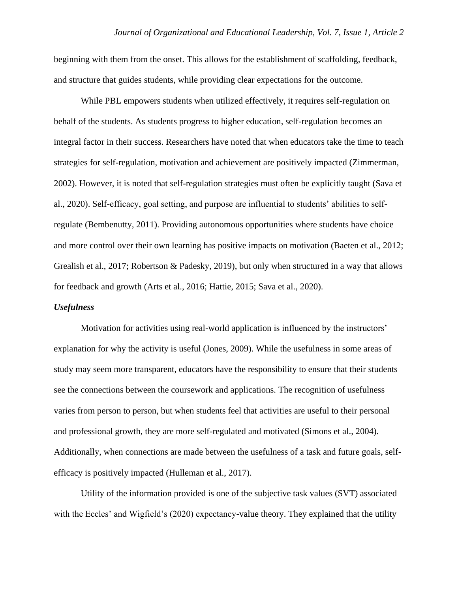beginning with them from the onset. This allows for the establishment of scaffolding, feedback, and structure that guides students, while providing clear expectations for the outcome.

While PBL empowers students when utilized effectively, it requires self-regulation on behalf of the students. As students progress to higher education, self-regulation becomes an integral factor in their success. Researchers have noted that when educators take the time to teach strategies for self-regulation, motivation and achievement are positively impacted (Zimmerman, 2002). However, it is noted that self-regulation strategies must often be explicitly taught (Sava et al., 2020). Self-efficacy, goal setting, and purpose are influential to students' abilities to selfregulate (Bembenutty, 2011). Providing autonomous opportunities where students have choice and more control over their own learning has positive impacts on motivation (Baeten et al., 2012; Grealish et al., 2017; Robertson & Padesky, 2019), but only when structured in a way that allows for feedback and growth (Arts et al., 2016; Hattie, 2015; Sava et al., 2020).

#### *Usefulness*

Motivation for activities using real-world application is influenced by the instructors' explanation for why the activity is useful (Jones, 2009). While the usefulness in some areas of study may seem more transparent, educators have the responsibility to ensure that their students see the connections between the coursework and applications. The recognition of usefulness varies from person to person, but when students feel that activities are useful to their personal and professional growth, they are more self-regulated and motivated (Simons et al., 2004). Additionally, when connections are made between the usefulness of a task and future goals, selfefficacy is positively impacted (Hulleman et al., 2017).

Utility of the information provided is one of the subjective task values (SVT) associated with the Eccles' and Wigfield's (2020) expectancy-value theory. They explained that the utility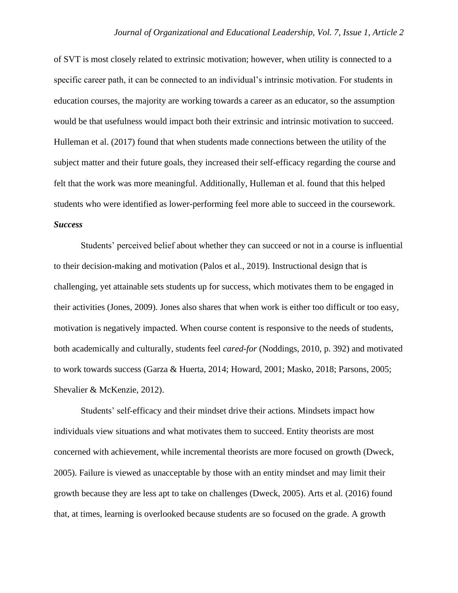of SVT is most closely related to extrinsic motivation; however, when utility is connected to a specific career path, it can be connected to an individual's intrinsic motivation. For students in education courses, the majority are working towards a career as an educator, so the assumption would be that usefulness would impact both their extrinsic and intrinsic motivation to succeed. Hulleman et al. (2017) found that when students made connections between the utility of the subject matter and their future goals, they increased their self-efficacy regarding the course and felt that the work was more meaningful. Additionally, Hulleman et al. found that this helped students who were identified as lower-performing feel more able to succeed in the coursework. *Success*

Students' perceived belief about whether they can succeed or not in a course is influential to their decision-making and motivation (Palos et al., 2019). Instructional design that is challenging, yet attainable sets students up for success, which motivates them to be engaged in their activities (Jones, 2009). Jones also shares that when work is either too difficult or too easy, motivation is negatively impacted. When course content is responsive to the needs of students, both academically and culturally, students feel *cared-for* (Noddings, 2010, p. 392) and motivated to work towards success (Garza & Huerta, 2014; Howard, 2001; Masko, 2018; Parsons, 2005; Shevalier & McKenzie, 2012).

Students' self-efficacy and their mindset drive their actions. Mindsets impact how individuals view situations and what motivates them to succeed. Entity theorists are most concerned with achievement, while incremental theorists are more focused on growth (Dweck, 2005). Failure is viewed as unacceptable by those with an entity mindset and may limit their growth because they are less apt to take on challenges (Dweck, 2005). Arts et al. (2016) found that, at times, learning is overlooked because students are so focused on the grade. A growth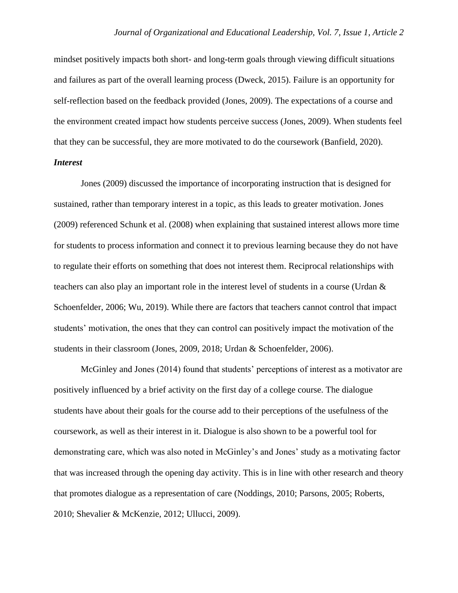mindset positively impacts both short- and long-term goals through viewing difficult situations and failures as part of the overall learning process (Dweck, 2015). Failure is an opportunity for self-reflection based on the feedback provided (Jones, 2009). The expectations of a course and the environment created impact how students perceive success (Jones, 2009). When students feel that they can be successful, they are more motivated to do the coursework (Banfield, 2020).

## *Interest*

Jones (2009) discussed the importance of incorporating instruction that is designed for sustained, rather than temporary interest in a topic, as this leads to greater motivation. Jones (2009) referenced Schunk et al. (2008) when explaining that sustained interest allows more time for students to process information and connect it to previous learning because they do not have to regulate their efforts on something that does not interest them. Reciprocal relationships with teachers can also play an important role in the interest level of students in a course (Urdan & Schoenfelder, 2006; Wu, 2019). While there are factors that teachers cannot control that impact students' motivation, the ones that they can control can positively impact the motivation of the students in their classroom (Jones, 2009, 2018; Urdan & Schoenfelder, 2006).

McGinley and Jones (2014) found that students' perceptions of interest as a motivator are positively influenced by a brief activity on the first day of a college course. The dialogue students have about their goals for the course add to their perceptions of the usefulness of the coursework, as well as their interest in it. Dialogue is also shown to be a powerful tool for demonstrating care, which was also noted in McGinley's and Jones' study as a motivating factor that was increased through the opening day activity. This is in line with other research and theory that promotes dialogue as a representation of care (Noddings, 2010; Parsons, 2005; Roberts, 2010; Shevalier & McKenzie, 2012; Ullucci, 2009).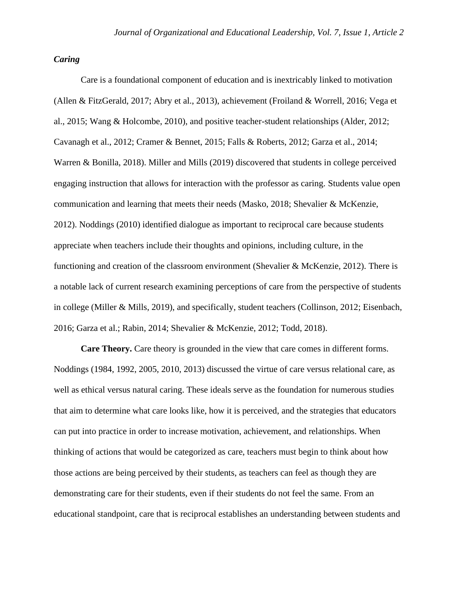## *Caring*

Care is a foundational component of education and is inextricably linked to motivation (Allen & FitzGerald, 2017; Abry et al., 2013), achievement (Froiland & Worrell, 2016; Vega et al., 2015; Wang & Holcombe, 2010), and positive teacher-student relationships (Alder, 2012; Cavanagh et al., 2012; Cramer & Bennet, 2015; Falls & Roberts, 2012; Garza et al., 2014; Warren & Bonilla, 2018). Miller and Mills (2019) discovered that students in college perceived engaging instruction that allows for interaction with the professor as caring. Students value open communication and learning that meets their needs (Masko, 2018; Shevalier & McKenzie, 2012). Noddings (2010) identified dialogue as important to reciprocal care because students appreciate when teachers include their thoughts and opinions, including culture, in the functioning and creation of the classroom environment (Shevalier & McKenzie, 2012). There is a notable lack of current research examining perceptions of care from the perspective of students in college (Miller & Mills, 2019), and specifically, student teachers (Collinson, 2012; Eisenbach, 2016; Garza et al.; Rabin, 2014; Shevalier & McKenzie, 2012; Todd, 2018).

**Care Theory.** Care theory is grounded in the view that care comes in different forms. Noddings (1984, 1992, 2005, 2010, 2013) discussed the virtue of care versus relational care, as well as ethical versus natural caring. These ideals serve as the foundation for numerous studies that aim to determine what care looks like, how it is perceived, and the strategies that educators can put into practice in order to increase motivation, achievement, and relationships. When thinking of actions that would be categorized as care, teachers must begin to think about how those actions are being perceived by their students, as teachers can feel as though they are demonstrating care for their students, even if their students do not feel the same. From an educational standpoint, care that is reciprocal establishes an understanding between students and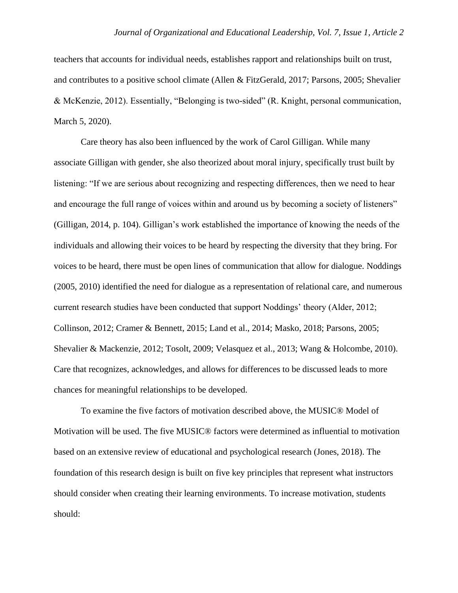teachers that accounts for individual needs, establishes rapport and relationships built on trust, and contributes to a positive school climate (Allen & FitzGerald, 2017; Parsons, 2005; Shevalier & McKenzie, 2012). Essentially, "Belonging is two-sided" (R. Knight, personal communication, March 5, 2020).

Care theory has also been influenced by the work of Carol Gilligan. While many associate Gilligan with gender, she also theorized about moral injury, specifically trust built by listening: "If we are serious about recognizing and respecting differences, then we need to hear and encourage the full range of voices within and around us by becoming a society of listeners" (Gilligan, 2014, p. 104). Gilligan's work established the importance of knowing the needs of the individuals and allowing their voices to be heard by respecting the diversity that they bring. For voices to be heard, there must be open lines of communication that allow for dialogue. Noddings (2005, 2010) identified the need for dialogue as a representation of relational care, and numerous current research studies have been conducted that support Noddings' theory (Alder, 2012; Collinson, 2012; Cramer & Bennett, 2015; Land et al., 2014; Masko, 2018; Parsons, 2005; Shevalier & Mackenzie, 2012; Tosolt, 2009; Velasquez et al., 2013; Wang & Holcombe, 2010). Care that recognizes, acknowledges, and allows for differences to be discussed leads to more chances for meaningful relationships to be developed.

To examine the five factors of motivation described above, the MUSIC® Model of Motivation will be used. The five MUSIC® factors were determined as influential to motivation based on an extensive review of educational and psychological research (Jones, 2018). The foundation of this research design is built on five key principles that represent what instructors should consider when creating their learning environments. To increase motivation, students should: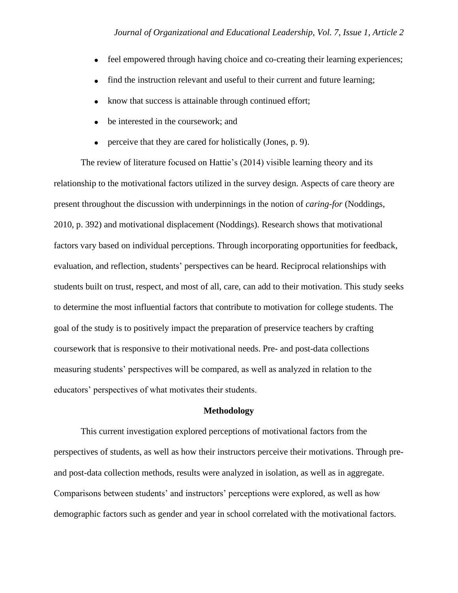- feel empowered through having choice and co-creating their learning experiences;
- find the instruction relevant and useful to their current and future learning;
- know that success is attainable through continued effort;
- be interested in the coursework; and
- perceive that they are cared for holistically (Jones, p. 9).

The review of literature focused on Hattie's (2014) visible learning theory and its relationship to the motivational factors utilized in the survey design. Aspects of care theory are present throughout the discussion with underpinnings in the notion of *caring-for* (Noddings, 2010, p. 392) and motivational displacement (Noddings). Research shows that motivational factors vary based on individual perceptions. Through incorporating opportunities for feedback, evaluation, and reflection, students' perspectives can be heard. Reciprocal relationships with students built on trust, respect, and most of all, care, can add to their motivation. This study seeks to determine the most influential factors that contribute to motivation for college students. The goal of the study is to positively impact the preparation of preservice teachers by crafting coursework that is responsive to their motivational needs. Pre- and post-data collections measuring students' perspectives will be compared, as well as analyzed in relation to the educators' perspectives of what motivates their students.

### **Methodology**

This current investigation explored perceptions of motivational factors from the perspectives of students, as well as how their instructors perceive their motivations. Through preand post-data collection methods, results were analyzed in isolation, as well as in aggregate. Comparisons between students' and instructors' perceptions were explored, as well as how demographic factors such as gender and year in school correlated with the motivational factors.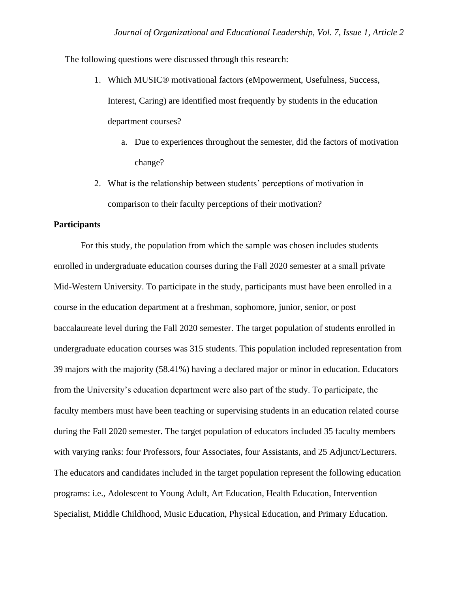The following questions were discussed through this research:

- 1. Which MUSIC® motivational factors (eMpowerment, Usefulness, Success, Interest, Caring) are identified most frequently by students in the education department courses?
	- a. Due to experiences throughout the semester, did the factors of motivation change?
- 2. What is the relationship between students' perceptions of motivation in comparison to their faculty perceptions of their motivation?

## **Participants**

For this study, the population from which the sample was chosen includes students enrolled in undergraduate education courses during the Fall 2020 semester at a small private Mid-Western University. To participate in the study, participants must have been enrolled in a course in the education department at a freshman, sophomore, junior, senior, or post baccalaureate level during the Fall 2020 semester. The target population of students enrolled in undergraduate education courses was 315 students. This population included representation from 39 majors with the majority (58.41%) having a declared major or minor in education. Educators from the University's education department were also part of the study. To participate, the faculty members must have been teaching or supervising students in an education related course during the Fall 2020 semester. The target population of educators included 35 faculty members with varying ranks: four Professors, four Associates, four Assistants, and 25 Adjunct/Lecturers. The educators and candidates included in the target population represent the following education programs: i.e., Adolescent to Young Adult, Art Education, Health Education, Intervention Specialist, Middle Childhood, Music Education, Physical Education, and Primary Education.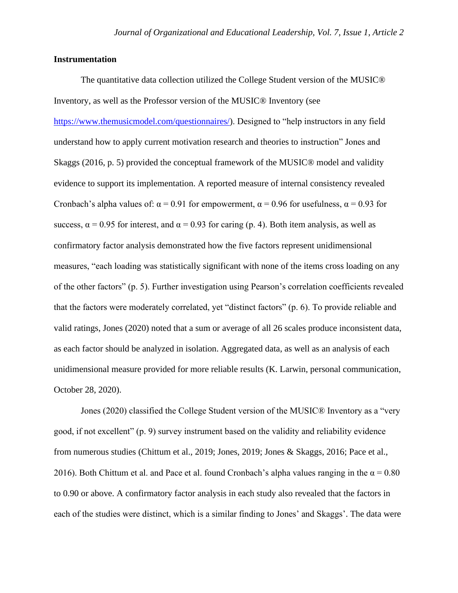## **Instrumentation**

The quantitative data collection utilized the College Student version of the MUSIC® Inventory, as well as the Professor version of the MUSIC® Inventory (see https://www.themusicmodel.com/questionnaires/). Designed to "help instructors in any field understand how to apply current motivation research and theories to instruction" Jones and Skaggs (2016, p. 5) provided the conceptual framework of the MUSIC® model and validity evidence to support its implementation. A reported measure of internal consistency revealed Cronbach's alpha values of:  $\alpha = 0.91$  for empowerment,  $\alpha = 0.96$  for usefulness,  $\alpha = 0.93$  for success,  $\alpha$  = 0.95 for interest, and  $\alpha$  = 0.93 for caring (p. 4). Both item analysis, as well as confirmatory factor analysis demonstrated how the five factors represent unidimensional measures, "each loading was statistically significant with none of the items cross loading on any of the other factors" (p. 5). Further investigation using Pearson's correlation coefficients revealed that the factors were moderately correlated, yet "distinct factors" (p. 6). To provide reliable and valid ratings, Jones (2020) noted that a sum or average of all 26 scales produce inconsistent data, as each factor should be analyzed in isolation. Aggregated data, as well as an analysis of each unidimensional measure provided for more reliable results (K. Larwin, personal communication, October 28, 2020).

Jones (2020) classified the College Student version of the MUSIC® Inventory as a "very good, if not excellent" (p. 9) survey instrument based on the validity and reliability evidence from numerous studies (Chittum et al., 2019; Jones, 2019; Jones & Skaggs, 2016; Pace et al., 2016). Both Chittum et al. and Pace et al. found Cronbach's alpha values ranging in the  $\alpha = 0.80$ to 0.90 or above. A confirmatory factor analysis in each study also revealed that the factors in each of the studies were distinct, which is a similar finding to Jones' and Skaggs'. The data were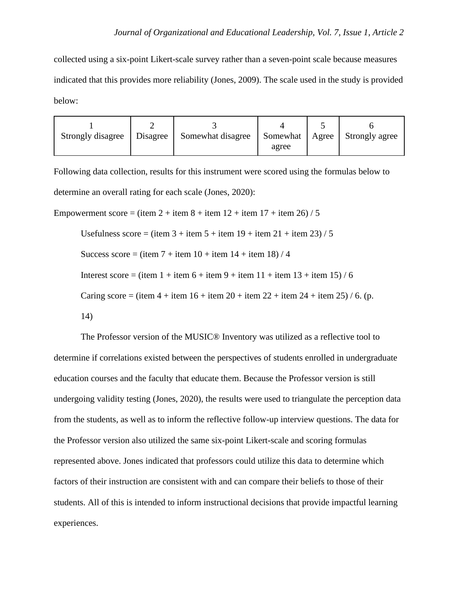collected using a six-point Likert-scale survey rather than a seven-point scale because measures indicated that this provides more reliability (Jones, 2009). The scale used in the study is provided below:

| Strongly disagree | <b>Disagree</b> | Somewhat disagree | Somewhat | Agree | Strongly agree |  |
|-------------------|-----------------|-------------------|----------|-------|----------------|--|
|                   |                 |                   | agree    |       |                |  |

Following data collection, results for this instrument were scored using the formulas below to determine an overall rating for each scale (Jones, 2020):

Empowerment score = (item  $2 + i$ tem  $8 + i$ tem  $12 + i$ tem  $17 + i$ tem  $26$ ) / 5

Usefulness score = (item  $3 +$ item  $5 +$ item  $19 +$ item  $21 +$ item  $23$ ) / 5

Success score = (item  $7 +$ item  $10 +$ item  $14 +$ item  $18$ ) / 4

Interest score = (item  $1 +$  item  $6 +$  item  $9 +$  item  $11 +$  item  $13 +$  item  $15$ ) / 6

Caring score = (item  $4 + i$ tem  $16 + i$ tem  $20 + i$ tem  $22 + i$ tem  $24 + i$ tem  $25$ ) / 6. (p.

14)

The Professor version of the MUSIC® Inventory was utilized as a reflective tool to determine if correlations existed between the perspectives of students enrolled in undergraduate education courses and the faculty that educate them. Because the Professor version is still undergoing validity testing (Jones, 2020), the results were used to triangulate the perception data from the students, as well as to inform the reflective follow-up interview questions. The data for the Professor version also utilized the same six-point Likert-scale and scoring formulas represented above. Jones indicated that professors could utilize this data to determine which factors of their instruction are consistent with and can compare their beliefs to those of their students. All of this is intended to inform instructional decisions that provide impactful learning experiences.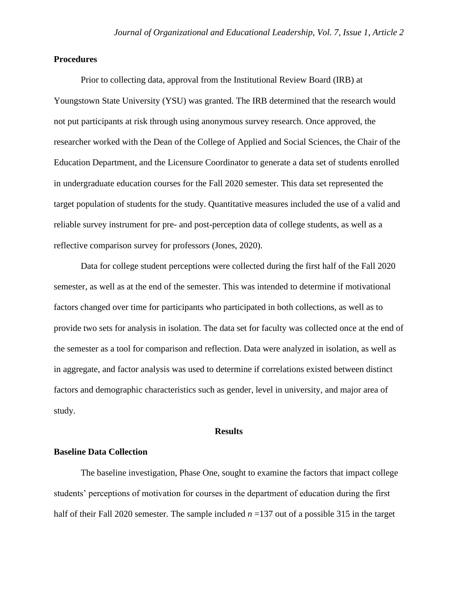## **Procedures**

Prior to collecting data, approval from the Institutional Review Board (IRB) at Youngstown State University (YSU) was granted. The IRB determined that the research would not put participants at risk through using anonymous survey research. Once approved, the researcher worked with the Dean of the College of Applied and Social Sciences, the Chair of the Education Department, and the Licensure Coordinator to generate a data set of students enrolled in undergraduate education courses for the Fall 2020 semester. This data set represented the target population of students for the study. Quantitative measures included the use of a valid and reliable survey instrument for pre- and post-perception data of college students, as well as a reflective comparison survey for professors (Jones, 2020).

Data for college student perceptions were collected during the first half of the Fall 2020 semester, as well as at the end of the semester. This was intended to determine if motivational factors changed over time for participants who participated in both collections, as well as to provide two sets for analysis in isolation. The data set for faculty was collected once at the end of the semester as a tool for comparison and reflection. Data were analyzed in isolation, as well as in aggregate, and factor analysis was used to determine if correlations existed between distinct factors and demographic characteristics such as gender, level in university, and major area of study.

#### **Results**

## **Baseline Data Collection**

The baseline investigation, Phase One, sought to examine the factors that impact college students' perceptions of motivation for courses in the department of education during the first half of their Fall 2020 semester. The sample included *n* =137 out of a possible 315 in the target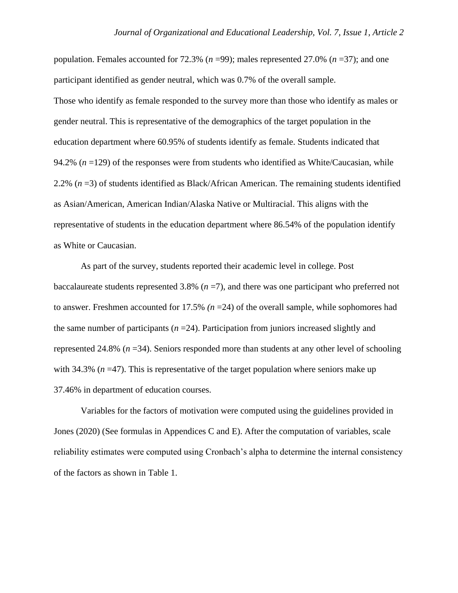population. Females accounted for 72.3% (*n* =99); males represented 27.0% (*n* =37); and one participant identified as gender neutral, which was 0.7% of the overall sample. Those who identify as female responded to the survey more than those who identify as males or gender neutral. This is representative of the demographics of the target population in the education department where 60.95% of students identify as female. Students indicated that 94.2%  $(n = 129)$  of the responses were from students who identified as White/Caucasian, while 2.2% (*n* =3) of students identified as Black/African American. The remaining students identified as Asian/American, American Indian/Alaska Native or Multiracial. This aligns with the representative of students in the education department where 86.54% of the population identify as White or Caucasian.

As part of the survey, students reported their academic level in college. Post baccalaureate students represented 3.8% (*n* =7), and there was one participant who preferred not to answer. Freshmen accounted for 17.5% *(n* =24) of the overall sample, while sophomores had the same number of participants (*n* =24). Participation from juniors increased slightly and represented 24.8% (*n* =34). Seniors responded more than students at any other level of schooling with 34.3% ( $n = 47$ ). This is representative of the target population where seniors make up 37.46% in department of education courses.

Variables for the factors of motivation were computed using the guidelines provided in Jones (2020) (See formulas in Appendices C and E). After the computation of variables, scale reliability estimates were computed using Cronbach's alpha to determine the internal consistency of the factors as shown in Table 1.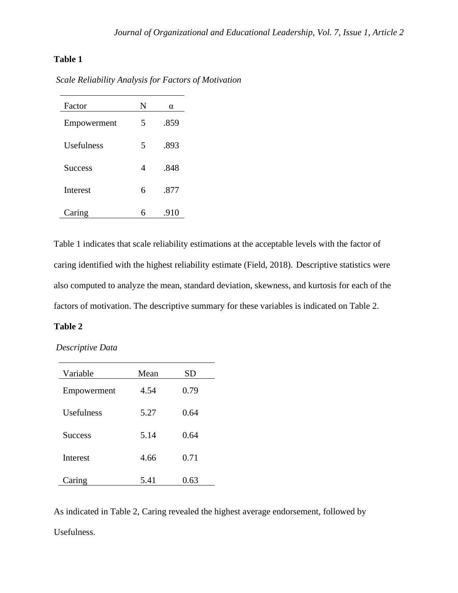# **Table 1**

| Factor            | N | α    |
|-------------------|---|------|
| Empowerment       | 5 | .859 |
| <b>Usefulness</b> | 5 | .893 |
| <b>Success</b>    | 4 | .848 |
| <b>Interest</b>   | 6 | .877 |
| Caring            | 6 | .910 |

*Scale Reliability Analysis for Factors of Motivation*

Table 1 indicates that scale reliability estimations at the acceptable levels with the factor of caring identified with the highest reliability estimate (Field, 2018). Descriptive statistics were also computed to analyze the mean, standard deviation, skewness, and kurtosis for each of the factors of motivation. The descriptive summary for these variables is indicated on Table 2.

## **Table 2**

*Descriptive Data* 

| Variable          | Mean | SD   |
|-------------------|------|------|
| Empowerment       | 4.54 | 0.79 |
| <b>Usefulness</b> | 5.27 | 0.64 |
| <b>Success</b>    | 5.14 | 0.64 |
| <b>Interest</b>   | 4.66 | 0.71 |
| Caring            | 5.41 | 0.63 |

As indicated in Table 2, Caring revealed the highest average endorsement, followed by Usefulness.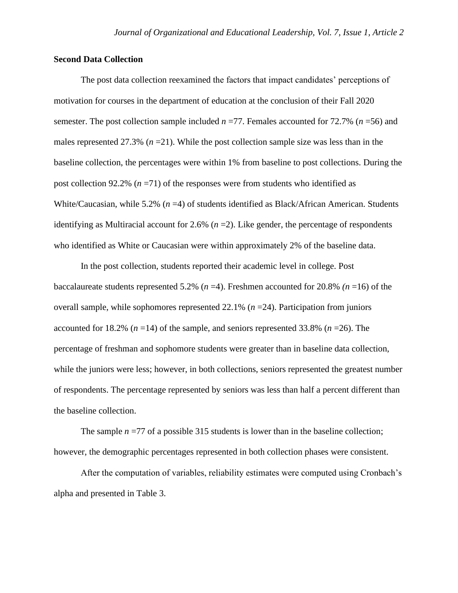## **Second Data Collection**

The post data collection reexamined the factors that impact candidates' perceptions of motivation for courses in the department of education at the conclusion of their Fall 2020 semester. The post collection sample included *n* =77. Females accounted for 72.7% (*n* =56) and males represented 27.3%  $(n=21)$ . While the post collection sample size was less than in the baseline collection, the percentages were within 1% from baseline to post collections. During the post collection 92.2% (*n* =71) of the responses were from students who identified as White/Caucasian, while 5.2% (*n* =4) of students identified as Black/African American. Students identifying as Multiracial account for 2.6%  $(n=2)$ . Like gender, the percentage of respondents who identified as White or Caucasian were within approximately 2% of the baseline data.

In the post collection, students reported their academic level in college. Post baccalaureate students represented 5.2% (*n* =4). Freshmen accounted for 20.8% *(n* =16) of the overall sample, while sophomores represented 22.1% (*n* =24). Participation from juniors accounted for 18.2% (*n* =14) of the sample, and seniors represented 33.8% (*n* =26). The percentage of freshman and sophomore students were greater than in baseline data collection, while the juniors were less; however, in both collections, seniors represented the greatest number of respondents. The percentage represented by seniors was less than half a percent different than the baseline collection.

The sample  $n = 77$  of a possible 315 students is lower than in the baseline collection; however, the demographic percentages represented in both collection phases were consistent.

After the computation of variables, reliability estimates were computed using Cronbach's alpha and presented in Table 3.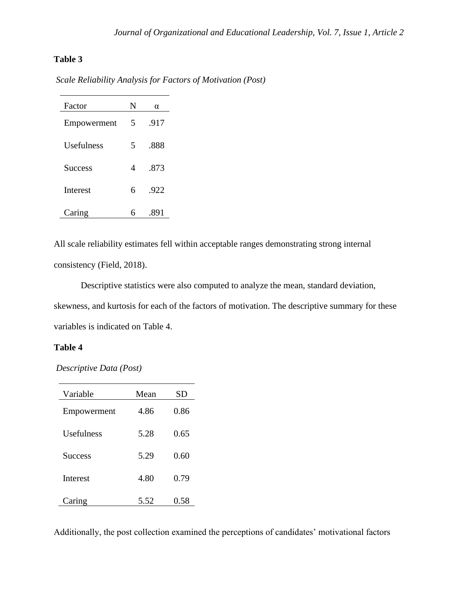# **Table 3**

| Scale Reliability Analysis for Factors of Motivation (Post) |  |
|-------------------------------------------------------------|--|
|                                                             |  |

| Factor         | N | $\alpha$ |
|----------------|---|----------|
| Empowerment    | 5 | .917     |
| Usefulness     | 5 | .888     |
| <b>Success</b> | 4 | .873     |
| Interest       | 6 | .922     |
| Caring         | 6 | .891     |

All scale reliability estimates fell within acceptable ranges demonstrating strong internal consistency (Field, 2018).

Descriptive statistics were also computed to analyze the mean, standard deviation, skewness, and kurtosis for each of the factors of motivation. The descriptive summary for these variables is indicated on Table 4.

## **Table 4**

*Descriptive Data (Post)*

| Variable        | Mean | SD   |  |
|-----------------|------|------|--|
| Empowerment     | 4.86 | 0.86 |  |
| Usefulness      | 5.28 | 0.65 |  |
| <b>Success</b>  | 5.29 | 0.60 |  |
| <b>Interest</b> | 4.80 | 0.79 |  |
| Caring          | 5.52 | 0.58 |  |

Additionally, the post collection examined the perceptions of candidates' motivational factors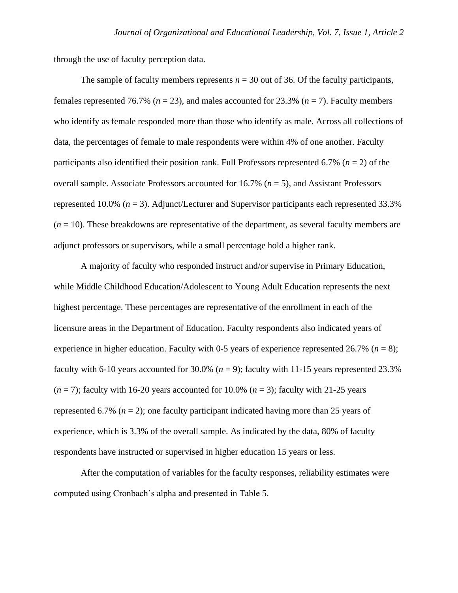through the use of faculty perception data.

The sample of faculty members represents  $n = 30$  out of 36. Of the faculty participants, females represented 76.7% (*n* = 23), and males accounted for 23.3% (*n* = 7). Faculty members who identify as female responded more than those who identify as male. Across all collections of data, the percentages of female to male respondents were within 4% of one another. Faculty participants also identified their position rank. Full Professors represented 6.7% (*n* = 2) of the overall sample. Associate Professors accounted for 16.7% (*n* = 5), and Assistant Professors represented 10.0% (*n* = 3). Adjunct/Lecturer and Supervisor participants each represented 33.3%  $(n = 10)$ . These breakdowns are representative of the department, as several faculty members are adjunct professors or supervisors, while a small percentage hold a higher rank.

A majority of faculty who responded instruct and/or supervise in Primary Education, while Middle Childhood Education/Adolescent to Young Adult Education represents the next highest percentage. These percentages are representative of the enrollment in each of the licensure areas in the Department of Education. Faculty respondents also indicated years of experience in higher education. Faculty with 0-5 years of experience represented 26.7% ( $n = 8$ ); faculty with 6-10 years accounted for 30.0% (*n* = 9); faculty with 11-15 years represented 23.3%  $(n = 7)$ ; faculty with 16-20 years accounted for 10.0%  $(n = 3)$ ; faculty with 21-25 years represented 6.7% ( $n = 2$ ); one faculty participant indicated having more than 25 years of experience, which is 3.3% of the overall sample. As indicated by the data, 80% of faculty respondents have instructed or supervised in higher education 15 years or less.

After the computation of variables for the faculty responses, reliability estimates were computed using Cronbach's alpha and presented in Table 5.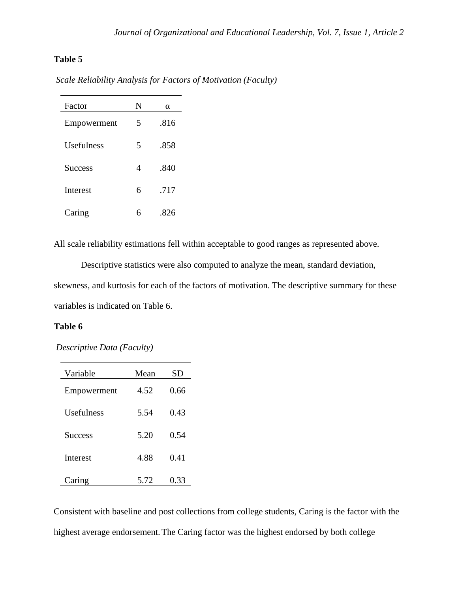# **Table 5**

| Factor         | N | α    |
|----------------|---|------|
| Empowerment    | 5 | .816 |
| Usefulness     | 5 | .858 |
| <b>Success</b> | 4 | .840 |
| Interest       | 6 | .717 |
| Caring         | 6 |      |

*Scale Reliability Analysis for Factors of Motivation (Faculty)*

All scale reliability estimations fell within acceptable to good ranges as represented above.

Descriptive statistics were also computed to analyze the mean, standard deviation, skewness, and kurtosis for each of the factors of motivation. The descriptive summary for these variables is indicated on Table 6.

## **Table 6**

*Descriptive Data (Faculty)*

| Variable        | Mean | SD   |  |
|-----------------|------|------|--|
| Empowerment     | 4.52 | 0.66 |  |
| Usefulness      | 5.54 | 0.43 |  |
| <b>Success</b>  | 5.20 | 0.54 |  |
| <b>Interest</b> | 4.88 | 0.41 |  |
| Caring          | 5.72 | 0.33 |  |

Consistent with baseline and post collections from college students, Caring is the factor with the highest average endorsement.The Caring factor was the highest endorsed by both college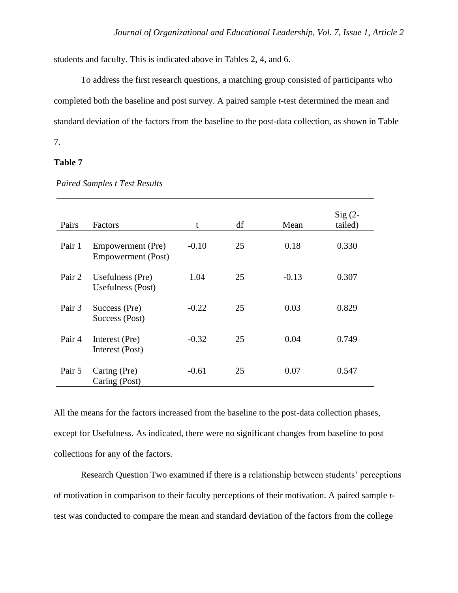students and faculty. This is indicated above in Tables 2, 4, and 6.

To address the first research questions, a matching group consisted of participants who completed both the baseline and post survey. A paired sample *t*-test determined the mean and standard deviation of the factors from the baseline to the post-data collection, as shown in Table 7.

## **Table 7**

| Pairs  | Factors                                        | t       | df | Mean    | $Sig(2-$<br>tailed) |
|--------|------------------------------------------------|---------|----|---------|---------------------|
| Pair 1 | Empowerment (Pre)<br><b>Empowerment</b> (Post) | $-0.10$ | 25 | 0.18    | 0.330               |
| Pair 2 | Usefulness (Pre)<br>Usefulness (Post)          | 1.04    | 25 | $-0.13$ | 0.307               |
| Pair 3 | Success (Pre)<br>Success (Post)                | $-0.22$ | 25 | 0.03    | 0.829               |
| Pair 4 | Interest (Pre)<br>Interest (Post)              | $-0.32$ | 25 | 0.04    | 0.749               |
| Pair 5 | Caring (Pre)<br>Caring (Post)                  | $-0.61$ | 25 | 0.07    | 0.547               |

*Paired Samples t Test Results*

All the means for the factors increased from the baseline to the post-data collection phases, except for Usefulness. As indicated, there were no significant changes from baseline to post collections for any of the factors.

Research Question Two examined if there is a relationship between students' perceptions of motivation in comparison to their faculty perceptions of their motivation. A paired sample *t*test was conducted to compare the mean and standard deviation of the factors from the college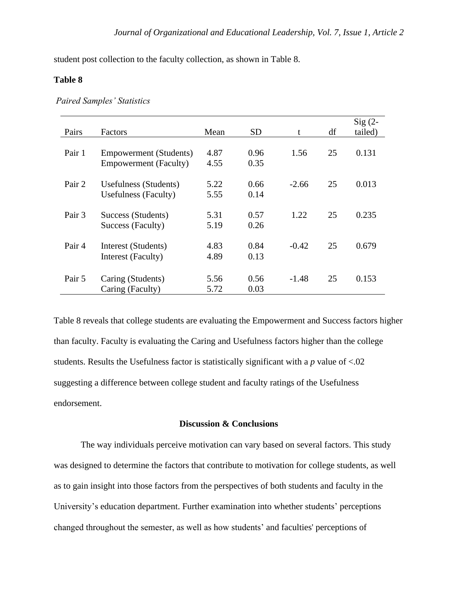student post collection to the faculty collection, as shown in Table 8.

## **Table 8**

|  |  | <b>Paired Samples' Statistics</b> |
|--|--|-----------------------------------|
|--|--|-----------------------------------|

| Pairs  | Factors                                                | Mean         | <b>SD</b>    | t       | df | $Sig(2-$<br>tailed) |
|--------|--------------------------------------------------------|--------------|--------------|---------|----|---------------------|
| Pair 1 | Empowerment (Students)<br><b>Empowerment</b> (Faculty) | 4.87<br>4.55 | 0.96<br>0.35 | 1.56    | 25 | 0.131               |
| Pair 2 | Usefulness (Students)<br><b>Usefulness</b> (Faculty)   | 5.22<br>5.55 | 0.66<br>0.14 | $-2.66$ | 25 | 0.013               |
| Pair 3 | Success (Students)<br>Success (Faculty)                | 5.31<br>5.19 | 0.57<br>0.26 | 1.22    | 25 | 0.235               |
| Pair 4 | Interest (Students)<br>Interest (Faculty)              | 4.83<br>4.89 | 0.84<br>0.13 | $-0.42$ | 25 | 0.679               |
| Pair 5 | Caring (Students)<br>Caring (Faculty)                  | 5.56<br>5.72 | 0.56<br>0.03 | $-1.48$ | 25 | 0.153               |

Table 8 reveals that college students are evaluating the Empowerment and Success factors higher than faculty. Faculty is evaluating the Caring and Usefulness factors higher than the college students. Results the Usefulness factor is statistically significant with a *p* value of <.02 suggesting a difference between college student and faculty ratings of the Usefulness endorsement.

## **Discussion & Conclusions**

The way individuals perceive motivation can vary based on several factors. This study was designed to determine the factors that contribute to motivation for college students, as well as to gain insight into those factors from the perspectives of both students and faculty in the University's education department. Further examination into whether students' perceptions changed throughout the semester, as well as how students' and faculties' perceptions of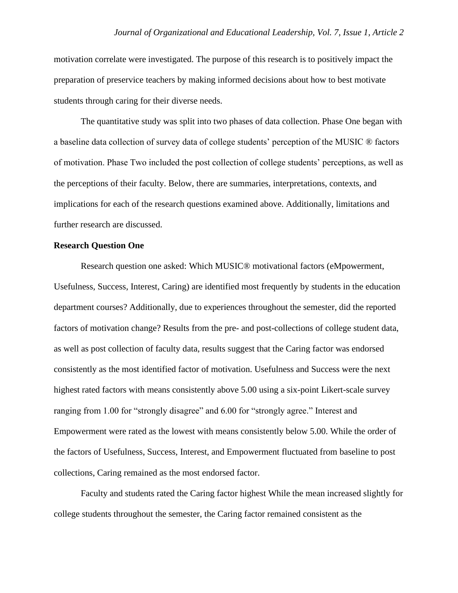motivation correlate were investigated. The purpose of this research is to positively impact the preparation of preservice teachers by making informed decisions about how to best motivate students through caring for their diverse needs.

The quantitative study was split into two phases of data collection. Phase One began with a baseline data collection of survey data of college students' perception of the MUSIC ® factors of motivation. Phase Two included the post collection of college students' perceptions, as well as the perceptions of their faculty. Below, there are summaries, interpretations, contexts, and implications for each of the research questions examined above. Additionally, limitations and further research are discussed.

## **Research Question One**

Research question one asked: Which MUSIC® motivational factors (eMpowerment, Usefulness, Success, Interest, Caring) are identified most frequently by students in the education department courses? Additionally, due to experiences throughout the semester, did the reported factors of motivation change? Results from the pre- and post-collections of college student data, as well as post collection of faculty data, results suggest that the Caring factor was endorsed consistently as the most identified factor of motivation. Usefulness and Success were the next highest rated factors with means consistently above 5.00 using a six-point Likert-scale survey ranging from 1.00 for "strongly disagree" and 6.00 for "strongly agree." Interest and Empowerment were rated as the lowest with means consistently below 5.00. While the order of the factors of Usefulness, Success, Interest, and Empowerment fluctuated from baseline to post collections, Caring remained as the most endorsed factor.

Faculty and students rated the Caring factor highest While the mean increased slightly for college students throughout the semester, the Caring factor remained consistent as the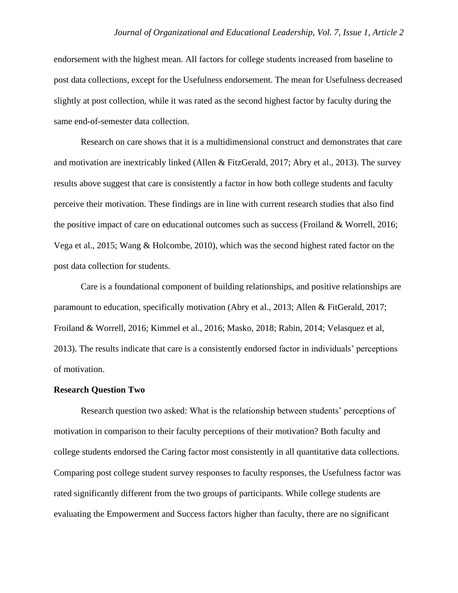endorsement with the highest mean. All factors for college students increased from baseline to post data collections, except for the Usefulness endorsement. The mean for Usefulness decreased slightly at post collection, while it was rated as the second highest factor by faculty during the same end-of-semester data collection.

Research on care shows that it is a multidimensional construct and demonstrates that care and motivation are inextricably linked (Allen & FitzGerald, 2017; Abry et al., 2013). The survey results above suggest that care is consistently a factor in how both college students and faculty perceive their motivation. These findings are in line with current research studies that also find the positive impact of care on educational outcomes such as success (Froiland & Worrell, 2016; Vega et al., 2015; Wang & Holcombe, 2010), which was the second highest rated factor on the post data collection for students.

Care is a foundational component of building relationships, and positive relationships are paramount to education, specifically motivation (Abry et al., 2013; Allen & FitGerald, 2017; Froiland & Worrell, 2016; Kimmel et al., 2016; Masko, 2018; Rabin, 2014; Velasquez et al, 2013). The results indicate that care is a consistently endorsed factor in individuals' perceptions of motivation.

## **Research Question Two**

Research question two asked: What is the relationship between students' perceptions of motivation in comparison to their faculty perceptions of their motivation? Both faculty and college students endorsed the Caring factor most consistently in all quantitative data collections. Comparing post college student survey responses to faculty responses, the Usefulness factor was rated significantly different from the two groups of participants. While college students are evaluating the Empowerment and Success factors higher than faculty, there are no significant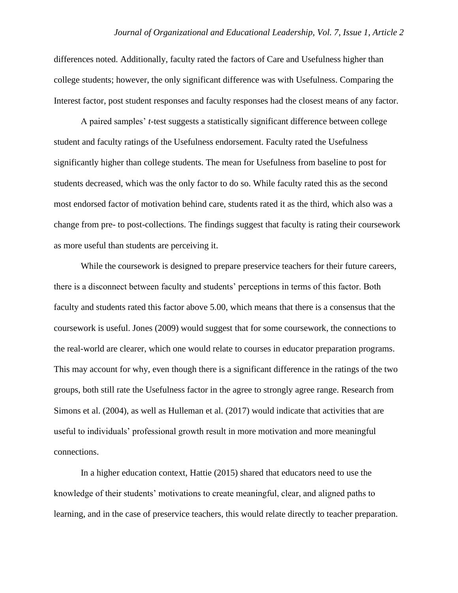differences noted. Additionally, faculty rated the factors of Care and Usefulness higher than college students; however, the only significant difference was with Usefulness. Comparing the Interest factor, post student responses and faculty responses had the closest means of any factor.

A paired samples' *t*-test suggests a statistically significant difference between college student and faculty ratings of the Usefulness endorsement. Faculty rated the Usefulness significantly higher than college students. The mean for Usefulness from baseline to post for students decreased, which was the only factor to do so. While faculty rated this as the second most endorsed factor of motivation behind care, students rated it as the third, which also was a change from pre- to post-collections. The findings suggest that faculty is rating their coursework as more useful than students are perceiving it.

While the coursework is designed to prepare preservice teachers for their future careers, there is a disconnect between faculty and students' perceptions in terms of this factor. Both faculty and students rated this factor above 5.00, which means that there is a consensus that the coursework is useful. Jones (2009) would suggest that for some coursework, the connections to the real-world are clearer, which one would relate to courses in educator preparation programs. This may account for why, even though there is a significant difference in the ratings of the two groups, both still rate the Usefulness factor in the agree to strongly agree range. Research from Simons et al. (2004), as well as Hulleman et al. (2017) would indicate that activities that are useful to individuals' professional growth result in more motivation and more meaningful connections.

In a higher education context, Hattie (2015) shared that educators need to use the knowledge of their students' motivations to create meaningful, clear, and aligned paths to learning, and in the case of preservice teachers, this would relate directly to teacher preparation.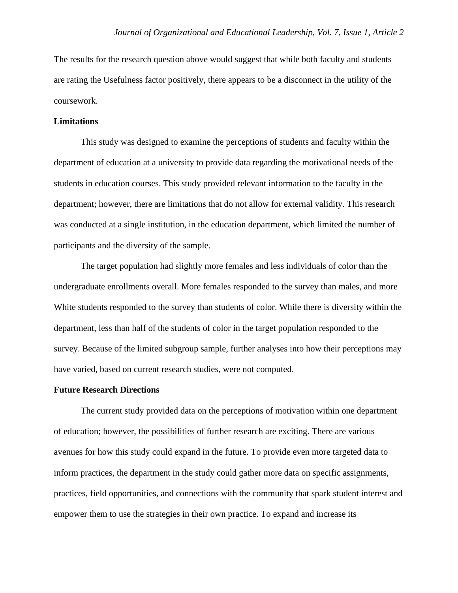The results for the research question above would suggest that while both faculty and students are rating the Usefulness factor positively, there appears to be a disconnect in the utility of the coursework.

## **Limitations**

This study was designed to examine the perceptions of students and faculty within the department of education at a university to provide data regarding the motivational needs of the students in education courses. This study provided relevant information to the faculty in the department; however, there are limitations that do not allow for external validity. This research was conducted at a single institution, in the education department, which limited the number of participants and the diversity of the sample.

The target population had slightly more females and less individuals of color than the undergraduate enrollments overall. More females responded to the survey than males, and more White students responded to the survey than students of color. While there is diversity within the department, less than half of the students of color in the target population responded to the survey. Because of the limited subgroup sample, further analyses into how their perceptions may have varied, based on current research studies, were not computed.

#### **Future Research Directions**

The current study provided data on the perceptions of motivation within one department of education; however, the possibilities of further research are exciting. There are various avenues for how this study could expand in the future. To provide even more targeted data to inform practices, the department in the study could gather more data on specific assignments, practices, field opportunities, and connections with the community that spark student interest and empower them to use the strategies in their own practice. To expand and increase its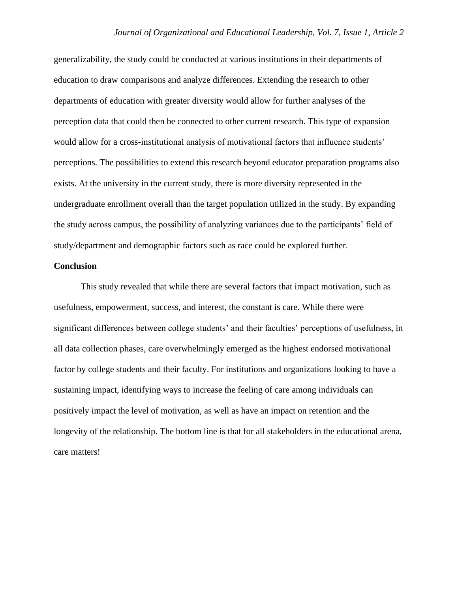generalizability, the study could be conducted at various institutions in their departments of education to draw comparisons and analyze differences. Extending the research to other departments of education with greater diversity would allow for further analyses of the perception data that could then be connected to other current research. This type of expansion would allow for a cross-institutional analysis of motivational factors that influence students' perceptions. The possibilities to extend this research beyond educator preparation programs also exists. At the university in the current study, there is more diversity represented in the undergraduate enrollment overall than the target population utilized in the study. By expanding the study across campus, the possibility of analyzing variances due to the participants' field of study/department and demographic factors such as race could be explored further.

## **Conclusion**

This study revealed that while there are several factors that impact motivation, such as usefulness, empowerment, success, and interest, the constant is care. While there were significant differences between college students' and their faculties' perceptions of usefulness, in all data collection phases, care overwhelmingly emerged as the highest endorsed motivational factor by college students and their faculty. For institutions and organizations looking to have a sustaining impact, identifying ways to increase the feeling of care among individuals can positively impact the level of motivation, as well as have an impact on retention and the longevity of the relationship. The bottom line is that for all stakeholders in the educational arena, care matters!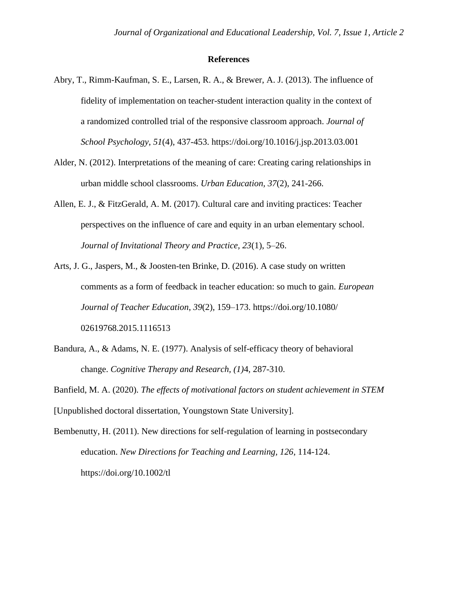#### **References**

- Abry, T., Rimm-Kaufman, S. E., Larsen, R. A., & Brewer, A. J. (2013). The influence of fidelity of implementation on teacher-student interaction quality in the context of a randomized controlled trial of the responsive classroom approach. *Journal of School Psychology*, *51*(4), 437-453. https://doi.org/10.1016/j.jsp.2013.03.001
- Alder, N. (2012). Interpretations of the meaning of care: Creating caring relationships in urban middle school classrooms. *Urban Education, 37*(2), 241-266.
- Allen, E. J., & FitzGerald, A. M. (2017). Cultural care and inviting practices: Teacher perspectives on the influence of care and equity in an urban elementary school. *Journal of Invitational Theory and Practice, 23*(1), 5–26.
- Arts, J. G., Jaspers, M., & Joosten-ten Brinke, D. (2016). A case study on written comments as a form of feedback in teacher education: so much to gain. *European Journal of Teacher Education*, *39*(2), 159–173. https://doi.org/10.1080/ 02619768.2015.1116513
- Bandura, A., & Adams, N. E. (1977). Analysis of self-efficacy theory of behavioral change. *Cognitive Therapy and Research, (1)*4, 287-310.
- Banfield, M. A. (2020). *The effects of motivational factors on student achievement in STEM*  [Unpublished doctoral dissertation, Youngstown State University].

Bembenutty, H. (2011). New directions for self-regulation of learning in postsecondary education. *New Directions for Teaching and Learning, 126*, 114-124. https://doi.org/10.1002/tl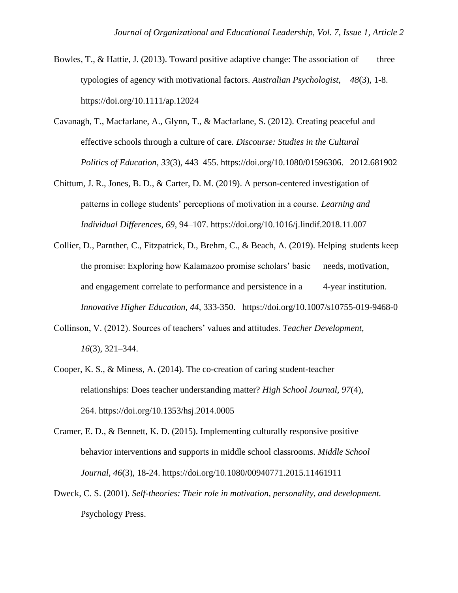- Bowles, T., & Hattie, J. (2013). Toward positive adaptive change: The association of three typologies of agency with motivational factors. *Australian Psychologist, 48*(3), 1-8. https://doi.org[/10.1111/ap.12024](about:blank)
- Cavanagh, T., Macfarlane, A., Glynn, T., & Macfarlane, S. (2012). Creating peaceful and effective schools through a culture of care. *Discourse: Studies in the Cultural Politics of Education, 33*(3), 443–455. https://doi.org/10.1080/01596306. 2012.681902
- Chittum, J. R., Jones, B. D., & Carter, D. M. (2019). A person-centered investigation of patterns in college students' perceptions of motivation in a course. *Learning and Individual Differences*, *69*, 94–107. https://doi.org/10.1016/j.lindif.2018.11.007
- Collier, D., Parnther, C., Fitzpatrick, D., Brehm, C., & Beach, A. (2019). Helping students keep the promise: Exploring how Kalamazoo promise scholars' basic needs, motivation, and engagement correlate to performance and persistence in a 4-year institution. *Innovative Higher Education, 44*, 333-350. https://doi.org/10.1007/s10755-019-9468-0
- Collinson, V. (2012). Sources of teachers' values and attitudes. *Teacher Development, 16*(3), 321–344.
- Cooper, K. S., & Miness, A. (2014). The co-creation of caring student-teacher relationships: Does teacher understanding matter? *High School Journal, 97*(4), 264. https://doi.org/10.1353/hsj.2014.0005
- Cramer, E. D., & Bennett, K. D. (2015). Implementing culturally responsive positive behavior interventions and supports in middle school classrooms. *Middle School Journal, 46*(3), 18-24. https://doi.org/10.1080/00940771.2015.11461911
- Dweck, C. S. (2001). *Self-theories: Their role in motivation, personality, and development.* Psychology Press.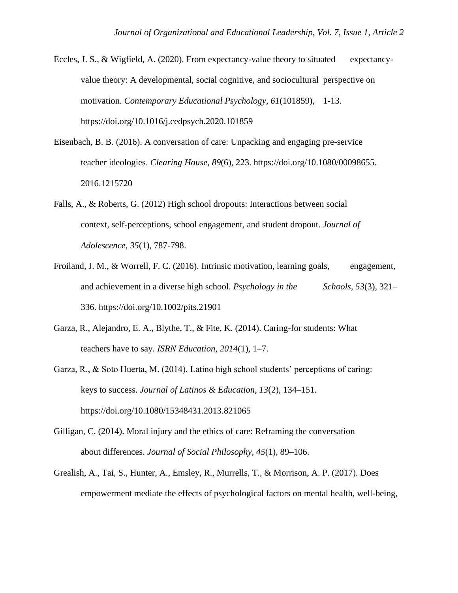- Eccles, J. S., & Wigfield, A. (2020). From expectancy-value theory to situated expectancyvalue theory: A developmental, social cognitive, and sociocultural perspective on motivation. *Contemporary Educational Psychology, 61*(101859), 1-13. [https://doi.org/10.1016/j.cedpsych.2020.101859](about:blank)
- Eisenbach, B. B. (2016). A conversation of care: Unpacking and engaging pre-service teacher ideologies. *Clearing House, 89*(6), 223. https://doi.org/10.1080/00098655. 2016.1215720
- Falls, A., & Roberts, G. (2012) High school dropouts: Interactions between social context, self-perceptions, school engagement, and student dropout. *Journal of Adolescence, 35*(1), 787-798.
- Froiland, J. M., & Worrell, F. C. (2016). Intrinsic motivation, learning goals, engagement, and achievement in a diverse high school. *Psychology in the Schools, 53*(3), 321– 336. [https://doi.org/10.1002/pits.21901](about:blank)
- Garza, R., Alejandro, E. A., Blythe, T., & Fite, K. (2014). Caring-for students: What teachers have to say. *ISRN Education, 2014*(1), 1–7.
- Garza, R., & Soto Huerta, M. (2014). Latino high school students' perceptions of caring: keys to success. *Journal of Latinos & Education, 13*(2), 134–151. https://doi.org/10.1080/15348431.2013.821065
- Gilligan, C. (2014). Moral injury and the ethics of care: Reframing the conversation about differences. *Journal of Social Philosophy, 45*(1), 89–106.
- Grealish, A., Tai, S., Hunter, A., Emsley, R., Murrells, T., & Morrison, A. P. (2017). Does empowerment mediate the effects of psychological factors on mental health, well-being,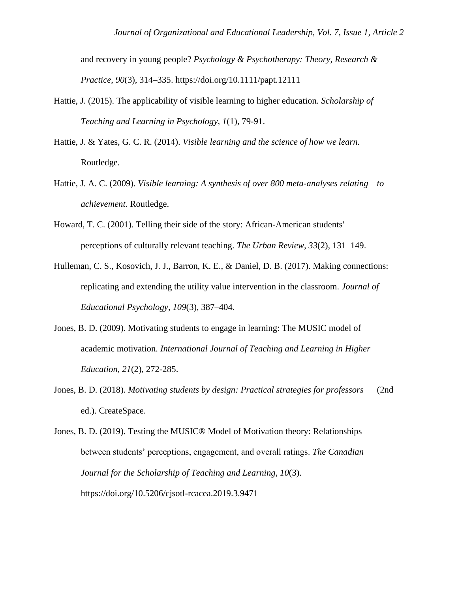and recovery in young people? *Psychology & Psychotherapy: Theory, Research & Practice*, *90*(3), 314–335. https://doi.org/10.1111/papt.12111

- Hattie, J. (2015). The applicability of visible learning to higher education. *Scholarship of Teaching and Learning in Psychology, 1*(1), 79-91.
- Hattie, J. & Yates, G. C. R. (2014). *Visible learning and the science of how we learn.*  Routledge.
- Hattie, J. A. C. (2009). *Visible learning: A synthesis of over 800 meta-analyses relating to achievement.* Routledge.
- Howard, T. C. (2001). Telling their side of the story: African-American students' perceptions of culturally relevant teaching. *The Urban Review, 33*(2), 131–149.
- Hulleman, C. S., Kosovich, J. J., Barron, K. E., & Daniel, D. B. (2017). Making connections: replicating and extending the utility value intervention in the classroom. *Journal of Educational Psychology*, *109*(3), 387–404.
- Jones, B. D. (2009). Motivating students to engage in learning: The MUSIC model of academic motivation. *International Journal of Teaching and Learning in Higher Education, 21*(2), 272-285.
- Jones, B. D. (2018). *Motivating students by design: Practical strategies for professors* (2nd ed.). CreateSpace.

Jones, B. D. (2019). Testing the MUSIC® Model of Motivation theory: Relationships between students' perceptions, engagement, and overall ratings. *The Canadian Journal for the Scholarship of Teaching and Learning*, *10*(3). https://doi.org/10.5206/cjsotl-rcacea.2019.3.9471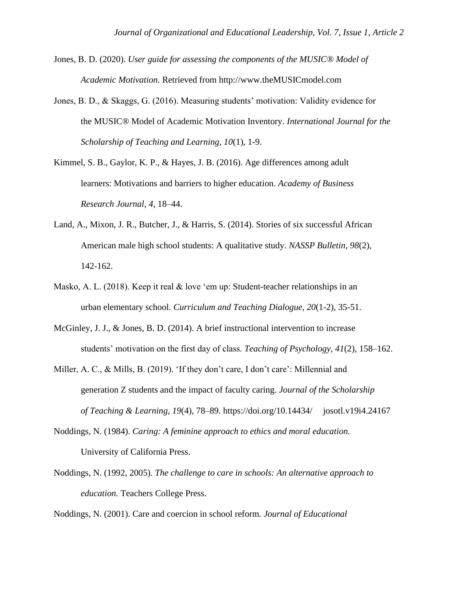- Jones, B. D. (2020). *User guide for assessing the components of the MUSIC® Model of Academic Motivation.* Retrieved from http://www.theMUSICmodel.com
- Jones, B. D., & Skaggs, G. (2016). Measuring students' motivation: Validity evidence for the MUSIC® Model of Academic Motivation Inventory. *International Journal for the Scholarship of Teaching and Learning, 10*(1), 1-9.
- Kimmel, S. B., Gaylor, K. P., & Hayes, J. B. (2016). Age differences among adult learners: Motivations and barriers to higher education. *Academy of Business Research Journal*, *4*, 18–44.
- Land, A., Mixon, J. R., Butcher, J., & Harris, S. (2014). Stories of six successful African American male high school students: A qualitative study. *NASSP Bulletin, 98*(2), 142-162.
- Masko, A. L. (2018). Keep it real  $\&$  love 'em up: Student-teacher relationships in an urban elementary school. *Curriculum and Teaching Dialogue, 20*(1-2), 35-51.
- McGinley, J. J., & Jones, B. D. (2014). A brief instructional intervention to increase students' motivation on the first day of class. *Teaching of Psychology*, *41*(2), 158–162.
- Miller, A. C., & Mills, B. (2019). 'If they don't care, I don't care': Millennial and generation Z students and the impact of faculty caring. *Journal of the Scholarship of Teaching & Learning, 19*(4), 78–89. https://doi.org/10.14434/ josotl.v19i4.24167
- Noddings, N. (1984). *Caring: A feminine approach to ethics and moral education.* University of California Press.
- Noddings, N. (1992, 2005). *The challenge to care in schools: An alternative approach to education.* Teachers College Press.

Noddings, N. (2001). Care and coercion in school reform. *Journal of Educational*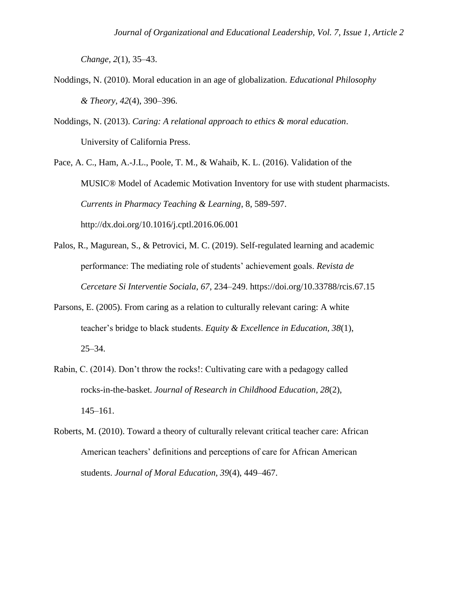*Change, 2*(1), 35–43.

- Noddings, N. (2010). Moral education in an age of globalization. *Educational Philosophy & Theory, 42*(4), 390–396.
- Noddings, N. (2013). *Caring: A relational approach to ethics & moral education*. University of California Press.

Pace, A. C., Ham, A.-J.L., Poole, T. M., & Wahaib, K. L. (2016). Validation of the MUSIC® Model of Academic Motivation Inventory for use with student pharmacists. *Currents in Pharmacy Teaching & Learning*, 8, 589-597. http://dx.doi.org/10.1016/j.cptl.2016.06.001

- Palos, R., Magurean, S., & Petrovici, M. C. (2019). Self-regulated learning and academic performance: The mediating role of students' achievement goals. *Revista de Cercetare Si Interventie Sociala*, *67*, 234–249. [https://doi.org/10.33788/rcis.67.15](about:blank)
- Parsons, E. (2005). From caring as a relation to culturally relevant caring: A white teacher's bridge to black students. *Equity & Excellence in Education, 38*(1), 25–34.
- Rabin, C. (2014). Don't throw the rocks!: Cultivating care with a pedagogy called rocks-in-the-basket. *Journal of Research in Childhood Education, 28*(2), 145–161.
- Roberts, M. (2010). Toward a theory of culturally relevant critical teacher care: African American teachers' definitions and perceptions of care for African American students. *Journal of Moral Education, 39*(4), 449–467.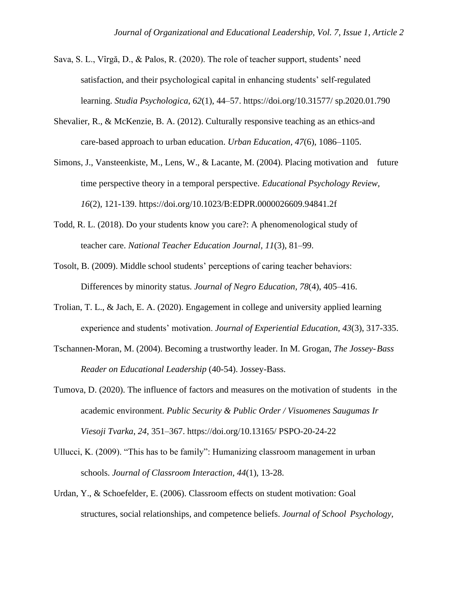- Sava, S. L., Vîrgă, D., & Palos, R. (2020). The role of teacher support, students' need satisfaction, and their psychological capital in enhancing students' self-regulated learning. *Studia Psychologica*, *62*(1), 44–57. https://doi.org/10.31577/ sp.2020.01.790
- Shevalier, R., & McKenzie, B. A. (2012). Culturally responsive teaching as an ethics-and care-based approach to urban education. *Urban Education, 47*(6), 1086–1105.
- Simons, J., Vansteenkiste, M., Lens, W., & Lacante, M. (2004). Placing motivation and future time perspective theory in a temporal perspective. *Educational Psychology Review, 16*(2), 121-139. https://doi.org[/10.1023/B:EDPR.0000026609.94841.2f](about:blank)
- Todd, R. L. (2018). Do your students know you care?: A phenomenological study of teacher care. *National Teacher Education Journal, 11*(3), 81–99.
- Tosolt, B. (2009). Middle school students' perceptions of caring teacher behaviors: Differences by minority status. *Journal of Negro Education, 78*(4), 405–416.
- Trolian, T. L., & Jach, E. A. (2020). Engagement in college and university applied learning experience and students' motivation. *Journal of Experiential Education, 43*(3), 317-335.
- Tschannen-Moran, M. (2004). Becoming a trustworthy leader. In M. Grogan, *The Jossey-Bass Reader on Educational Leadership* (40-54). Jossey-Bass.
- Tumova, D. (2020). The influence of factors and measures on the motivation of students in the academic environment. *Public Security & Public Order / Visuomenes Saugumas Ir Viesoji Tvarka*, *24*, 351–367. https://doi.org/10.13165/ PSPO-20-24-22
- Ullucci, K. (2009). "This has to be family": Humanizing classroom management in urban schools. *Journal of Classroom Interaction, 44*(1), 13-28.
- Urdan, Y., & Schoefelder, E. (2006). Classroom effects on student motivation: Goal structures, social relationships, and competence beliefs. *Journal of School Psychology,*